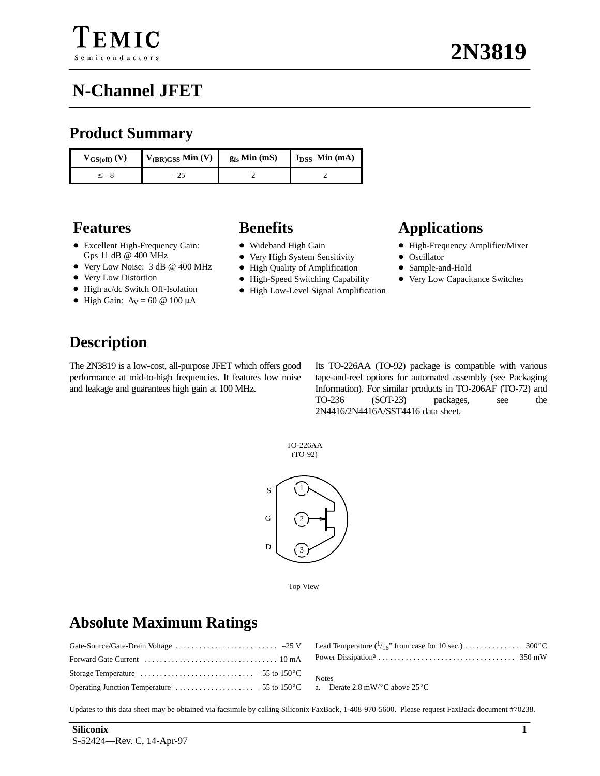### **Product Summary**

| $V_{GS(off)}(V)$ | $V_{(BR)GSS}$ Min (V) | $g_{fs}$ Min (mS) | $I_{DSS}$ Min (mA) |
|------------------|-----------------------|-------------------|--------------------|
| -8               | $-\angle$             |                   |                    |

- Excellent High-Frequency Gain: Gps 11 dB @ 400 MHz
- Very Low Noise: 3 dB @ 400 MHz
- Very Low Distortion
- High ac/dc Switch Off-Isolation
- High Gain:  $A_V = 60 \ @ 100 \mu A$

- Wideband High Gain
- Very High System Sensitivity
- High Quality of Amplification
- High-Speed Switching Capability
- High Low-Level Signal Amplification

### **Features Benefits Applications**

- High-Frequency Amplifier/Mixer
- Oscillator
- $\bullet$ Sample-and-Hold
- Very Low Capacitance Switches

### **Description**

The 2N3819 is a low-cost, all-purpose JFET which offers good performance at mid-to-high frequencies. It features low noise and leakage and guarantees high gain at 100 MHz.

Its TO-226AA (TO-92) package is compatible with various tape-and-reel options for automated assembly (see Packaging Information). For similar products in TO-206AF (TO-72) and TO-236 (SOT-23) packages, see the 2N4416/2N4416A/SST4416 data sheet.



Top View

### **Absolute Maximum Ratings**

| Storage Temperature $\ldots \ldots \ldots \ldots \ldots \ldots \ldots \ldots \ldots \ldots \ldots \ldots \ldots$ 55 to 150 °C |  |
|-------------------------------------------------------------------------------------------------------------------------------|--|
|                                                                                                                               |  |

Updates to this data sheet may be obtained via facsimile by calling Siliconix FaxBack, 1-408-970-5600. Please request FaxBack document #70238.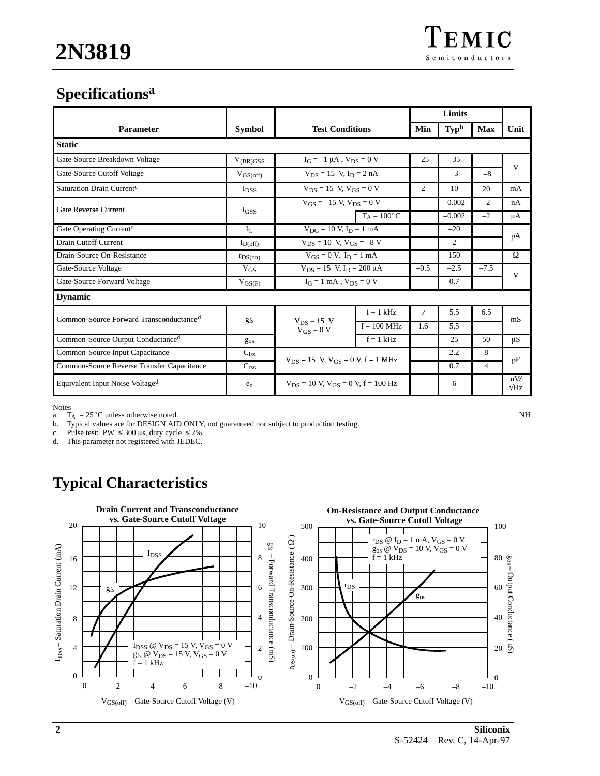## **Specificationsa**

|                                                     |                                   | <b>Test Conditions</b>                                    |                      | Limits         |                  |                |                    |
|-----------------------------------------------------|-----------------------------------|-----------------------------------------------------------|----------------------|----------------|------------------|----------------|--------------------|
| <b>Parameter</b>                                    | <b>Symbol</b>                     |                                                           |                      | Min            | Typ <sup>b</sup> | <b>Max</b>     | Unit               |
| <b>Static</b>                                       |                                   |                                                           |                      |                |                  |                |                    |
| Gate-Source Breakdown Voltage                       | $V_{(BR)GSS}$                     | $I_G = -1 \mu A$ , $V_{DS} = 0 V$                         |                      | $-25$          | $-35$            |                | $\mathbf{V}$       |
| Gate-Source Cutoff Voltage                          | $V_{GS(off)}$                     | $V_{DS} = 15$ V, $I_D = 2$ nA                             |                      |                | $-3$             | $-8$           |                    |
| Saturation Drain Current <sup>c</sup>               | <b>I</b> <sub>DSS</sub>           | $V_{DS} = 15$ V, $V_{GS} = 0$ V                           |                      | 2              | 10               | 20             | mA                 |
| Gate Reverse Current                                |                                   | $V_{GS} = -15$ V, $V_{DS} = 0$ V                          |                      |                | $-0.002$         | $-2$           | nA                 |
|                                                     | I <sub>GSS</sub>                  |                                                           | $T_A = 100^{\circ}C$ |                | $-0.002$         | $-2$           | μA                 |
| Gate Operating Current <sup>d</sup>                 | $I_G$                             | $V_{DG} = 10 V, I_D = 1 mA$                               |                      |                | $-20$            |                |                    |
| <b>Drain Cutoff Current</b>                         | $I_{D(off)}$                      | $\overline{V_{DS}} = 10 \text{ V}, V_{GS} = -8 \text{ V}$ |                      |                | $\overline{c}$   |                | pA                 |
| Drain-Source On-Resistance                          | $r_{DS(on)}$                      | $V_{GS} = 0 V$ , $I_D = 1 mA$                             |                      |                | 150              |                | Ω                  |
| Gate-Source Voltage                                 | $V_{GS}$                          | $V_{DS} = 15$ V, $I_D = 200 \mu A$                        |                      | $-0.5$         | $-2.5$           | $-7.5$         | V                  |
| Gate-Source Forward Voltage                         | $V_{GS(F)}$                       | $I_G = 1$ mA, $V_{DS} = 0$ V                              |                      |                | 0.7              |                |                    |
| <b>Dynamic</b>                                      |                                   |                                                           |                      |                |                  |                |                    |
| Common-Source Forward Transconductance <sup>d</sup> | <b>gfs</b>                        | $V_{DS} = 15 V$<br>$V_{GS} = 0 V$                         | $f = 1$ kHz          | $\overline{2}$ | 5.5              | 6.5            | mS                 |
|                                                     |                                   |                                                           | $f = 100$ MHz        | 1.6            | 5.5              |                |                    |
| Common-Source Output Conductanced                   | $g_{os}$                          |                                                           | $f = 1$ kHz          |                | 25               | 50             | μS                 |
| Common-Source Input Capacitance                     | $C_{iss}$                         | $V_{DS} = 15$ V, $V_{GS} = 0$ V, $f = 1$ MHz              |                      |                | 2.2              | 8              | pF                 |
| Common-Source Reverse Transfer Capacitance          | $\mathbf{C}_{\text{rss}}$         |                                                           |                      |                | 0.7              | $\overline{4}$ |                    |
| Equivalent Input Noise Voltage <sup>d</sup>         | $\overline{\phantom{m}}$<br>$e_n$ | $V_{DS} = 10$ V, $V_{GS} = 0$ V, $f = 100$ Hz             |                      |                | 6                |                | nV/<br>$\sqrt{Hz}$ |

Notes<br>a. T

a.  $T_A = 25^{\circ}$ C unless otherwise noted. NH<br>b. Typical values are for DESIGN AID ONLY, not guaranteed nor subject to production testing. Typical values are for DESIGN AID ONLY, not guaranteed nor subject to production testing.

c. Pulse test: PW  $\leq 300$   $\mu$ s, duty cycle  $\leq 2\%$ .

d. This parameter not registered with JEDEC.

## **Typical Characteristics**

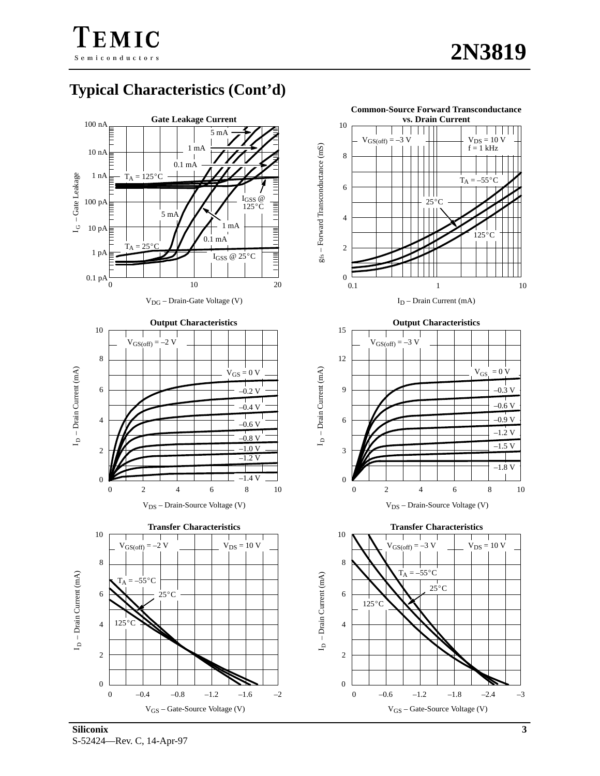$V_{DS} = 10 V$ <br>f = 1 kHz

. . . . . .

**Common-Source Forward Transconductance vs. Drain Current**

 $\mathbf{I}$ 

10

8

 $V_{GS(off)} = -3$ 

# **Typical Characteristics (Cont'd)**

EMIC

Semiconductors





V<sub>GS</sub> – Gate-Source Voltage (V)

0

2

4

125C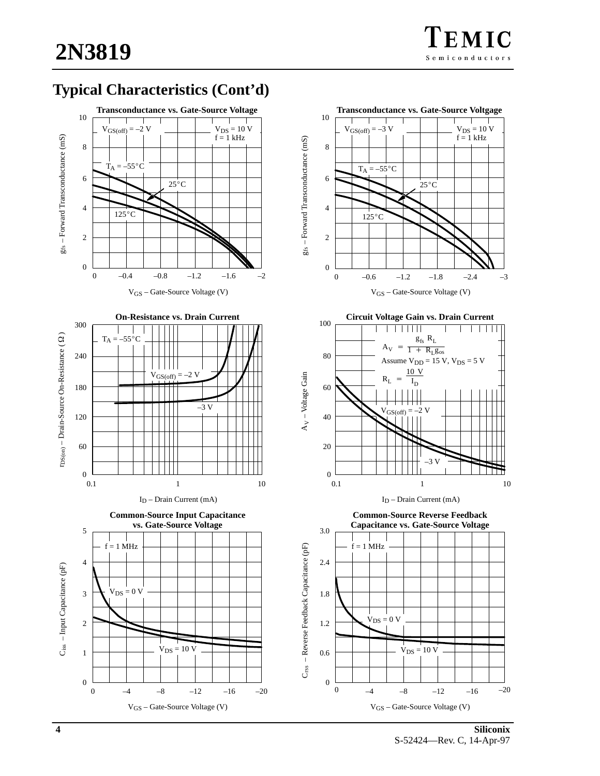## **Typical Characteristics (Cont'd)**